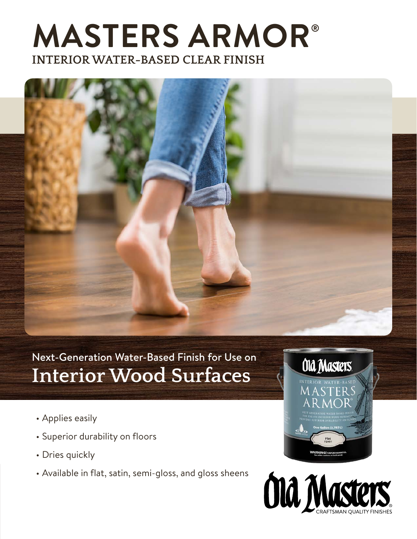## **MASTERS ARMOR® INTERIOR WATER-BASED CLEAR FINISH**



Next-Generation Water-Based Finish for Use on **Interior Wood Surfaces**

- Applies easily
- Superior durability on floors
- Dries quickly
- Available in flat, satin, semi-gloss, and gloss sheens



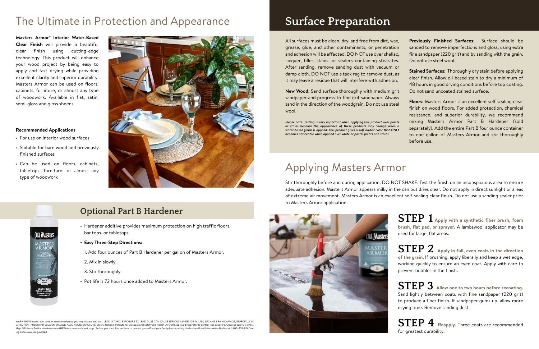### **Recommended Applications**

**Old Masters** 

**MASTER**<br>AR MOR **PART B**<br>HARDENI

- For use on interior wood surfaces
- Suitable for bare wood and previously finished surfaces
- Can be used on floors, cabinets, tabletops, furniture, or almost any type of woodwork



## **Optional Part B Hardener**

- Hardener additive provides maximum protection on high traffic floors, bar tops, or tabletops.
- **• Easy Three-Step Directions:**
- 1. Add four ounces of Part B Hardener per gallon of Masters Armor.
- 2. Mix in slowly.
- 3. Stir thoroughly.
- Pot life is 72 hours once added to Masters Armor.

WARNING! If you scrape, sand, or remove old paint, you may release lead dust. LEAD IS TOXIC. EXPOSURE TO LEAD DUST CAN CAUSE SERIOUS ILLNESS OR INJURY. SUCH AS BRAIN DAMAGF. FSPFCIAI IY IN CHILDREN. PREGNANT WOMEN SHOULD ALSO AVOID EXPOSURE. Wear a National Institute for Occupational Safety and Health (NIOSH) approved respirator to control lead exposure. Clean up carefully with a High Efficiency Particulate Arrestance (HEPA) vacuum and a wet mop. Before you start, find out how to protect yourself and your family by contacting the National Lead Information Hotline at 1-800-424-LEAD or log on to www.epa.gov/lead

## The Ultimate in Protection and Appearance **Surface Preparation**

**STEP 1 Apply with a synthetic fiber brush, foam brush, flat pad, or sprayer.** A lambswool applicator may be used for large, flat areas.

**STEP 2 Apply in full, even coats in the direction of the grain.** If brushing, apply liberally and keep a wet edge, working quickly to ensure an even coat. Apply with care to prevent bubbles in the finish.

**STEP 3 Allow one to two hours before recoating.** Sand lightly between coats with fine sandpaper (220 grit) to produce a finer finish. If sandpaper gums up, allow more drying time. Remove sanding dust.

**STEP 4 Reapply.** Three coats are recommended for greatest durability.

## Applying Masters Armor

All surfaces must be clean, dry, and free from dirt, way grease, glue, and other contaminants, or penetratio and adhesion will be affected. DO NOT use over shellac, lacquer, filler, stains, or sealers containing stearates After sanding, remove sanding dust with vacuum or damp cloth. DO NOT use a tack rag to remove dust, a it may leave a residue that will interfere with adhesion.

New Wood: Sand surface thoroughly with medium gri sandpaper and progress to fine grit sandpaper. Alway sand in the direction of the woodgrain. Do not use stee wool.

Stir thoroughly before and during application. DO NOT SHAKE. Test the finish on an inconspicuous area to ensure adequate adhesion. Masters Armor appears milky in the can but dries clear. Do not apply in direct sunlight or areas of extreme air movement. Masters Armor is an excellent self-sealing clear finish. Do not use a sanding sealer prior to Masters Armor application.



*Please note: Testing is very important when applying this product over pain or stains because the appearance of these products may change when* water-based finish is applied. This product gives a soft amber color that ONL *becomes noticeable when applied over white or pastel paints and stains.*

| ٢,                      | Previously Finished Surfaces: Surface should be               |  |  |  |  |
|-------------------------|---------------------------------------------------------------|--|--|--|--|
| n                       | sanded to remove imperfections and gloss, using extra         |  |  |  |  |
| ż,                      | fine sandpaper (220 grit) and by sanding with the grain.      |  |  |  |  |
| ŝ.                      | Do not use steel wool.                                        |  |  |  |  |
| r                       |                                                               |  |  |  |  |
| $\overline{\mathsf{s}}$ | <b>Stained Surfaces:</b> Thoroughly dry stain before applying |  |  |  |  |
| $\ddot{\cdot}$          | clear finish. Allow oil-based stain to dry a minimum of       |  |  |  |  |
|                         | 48 hours in good drying conditions before top coating.        |  |  |  |  |
| it                      | Do not sand uncoated stained surface.                         |  |  |  |  |
| 'S                      | Floors: Masters Armor is an excellent self-sealing clear      |  |  |  |  |
| اڊ                      |                                                               |  |  |  |  |
|                         | finish on wood floors. For added protection, chemical         |  |  |  |  |
|                         | resistance, and superior durability, we recommend             |  |  |  |  |
| ts                      | mixing Masters Armor Part B Hardener (sold                    |  |  |  |  |
| a<br>Y                  | separately). Add the entire Part B four ounce container       |  |  |  |  |

to one gallon of Masters Armor and stir thoroughly

before use.

**Masters Armor® Interior Water-Based Clear Finish** will provide a beautiful clear finish using cutting-edge technology. This product will enhance your wood project by being easy to apply and fast–drying while providing excellent clarity and superior durability. Masters Armor can be used on floors, cabinets, furniture, or almost any type of woodwork. Available in flat, satin, semi-gloss and gloss sheens.